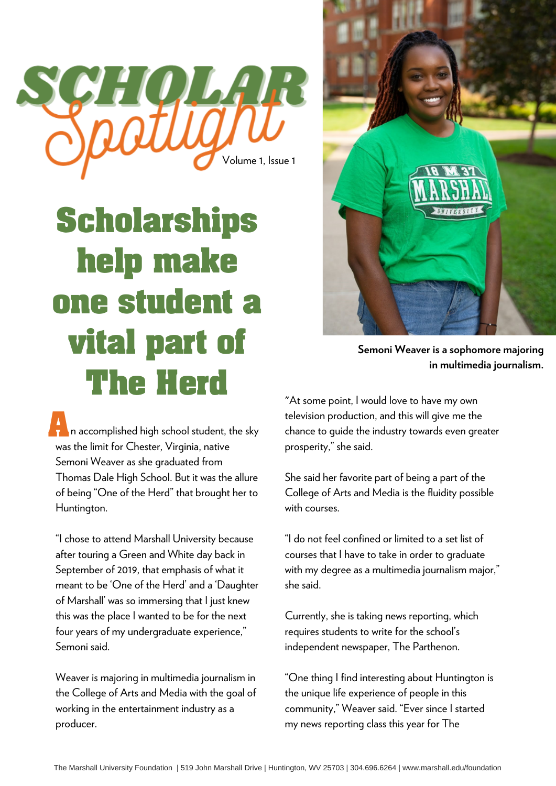

## **Scholarships help make one student a vital part of The Herd**

**A**<br>**A A n** accomplished high school student, the sky was the limit for Chester, Virginia, native Semoni Weaver as she graduated from Thomas Dale High School. But it was the allure of being "One of the Herd" that brought her to Huntington.

"I chose to attend Marshall University because after touring a Green and White day back in September of 2019, that emphasis of what it meant to be 'One of the Herd' and a 'Daughter of Marshall' was so immersing that I just knew this was the place I wanted to be for the next four years of my undergraduate experience," Semoni said.

Weaver is majoring in multimedia journalism in the College of Arts and Media with the goal of working in the entertainment industry as a producer.



**Semoni Weaver is a sophomore majoring in multimedia journalism.**

"At some point, I would love to have my own television production, and this will give me the chance to guide the industry towards even greater prosperity," she said.

She said her favorite part of being a part of the College of Arts and Media is the fluidity possible with courses.

"I do not feel confined or limited to a set list of courses that I have to take in order to graduate with my degree as a multimedia journalism major," she said.

Currently, she is taking news reporting, which requires students to write for the school's independent newspaper, The Parthenon.

"One thing I find interesting about Huntington is the unique life experience of people in this community," Weaver said. "Ever since I started my news reporting class this year for The